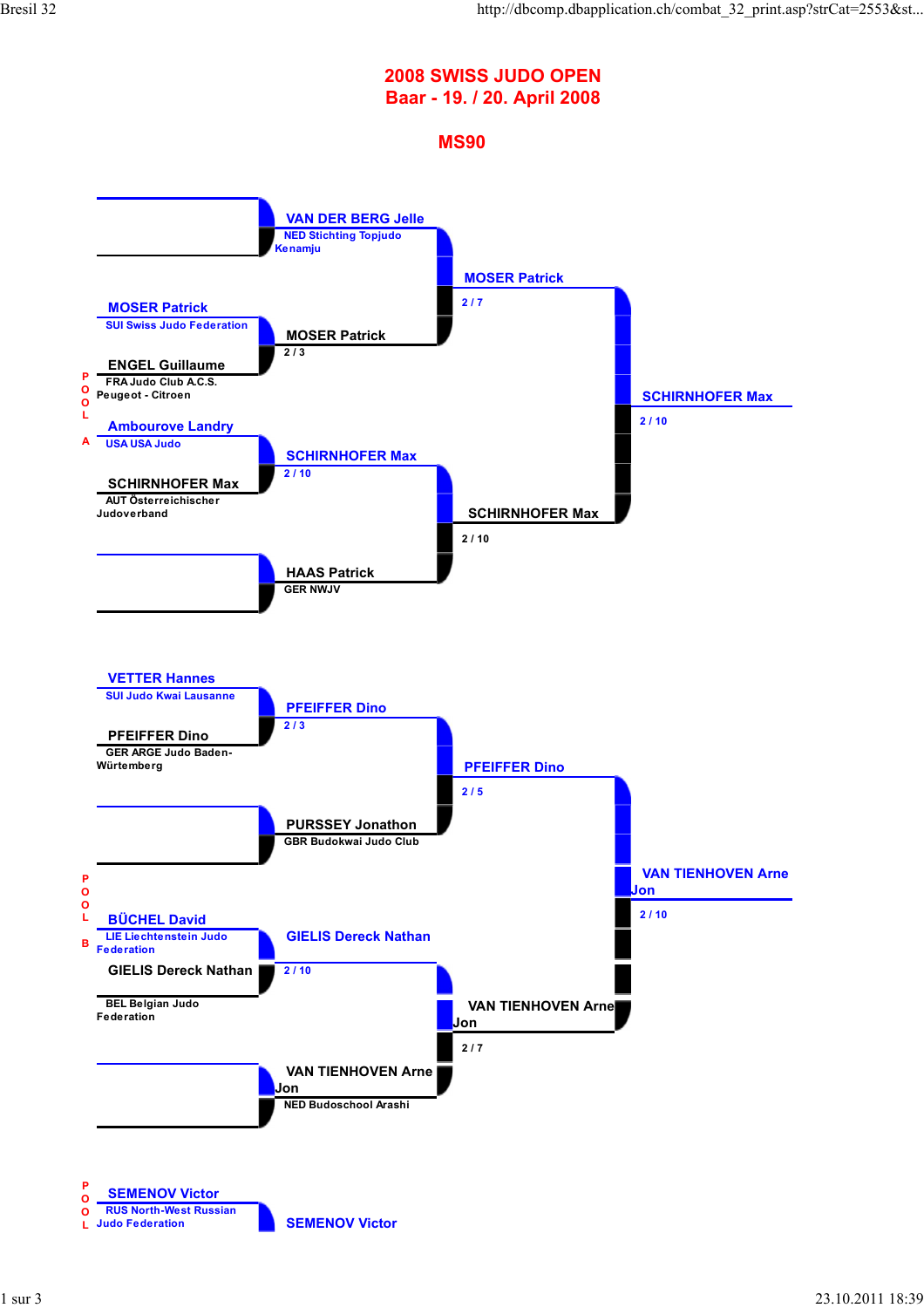## **2008 SWISS JUDO OPEN Baar - 19. / 20. April 2008**

## **MS90**

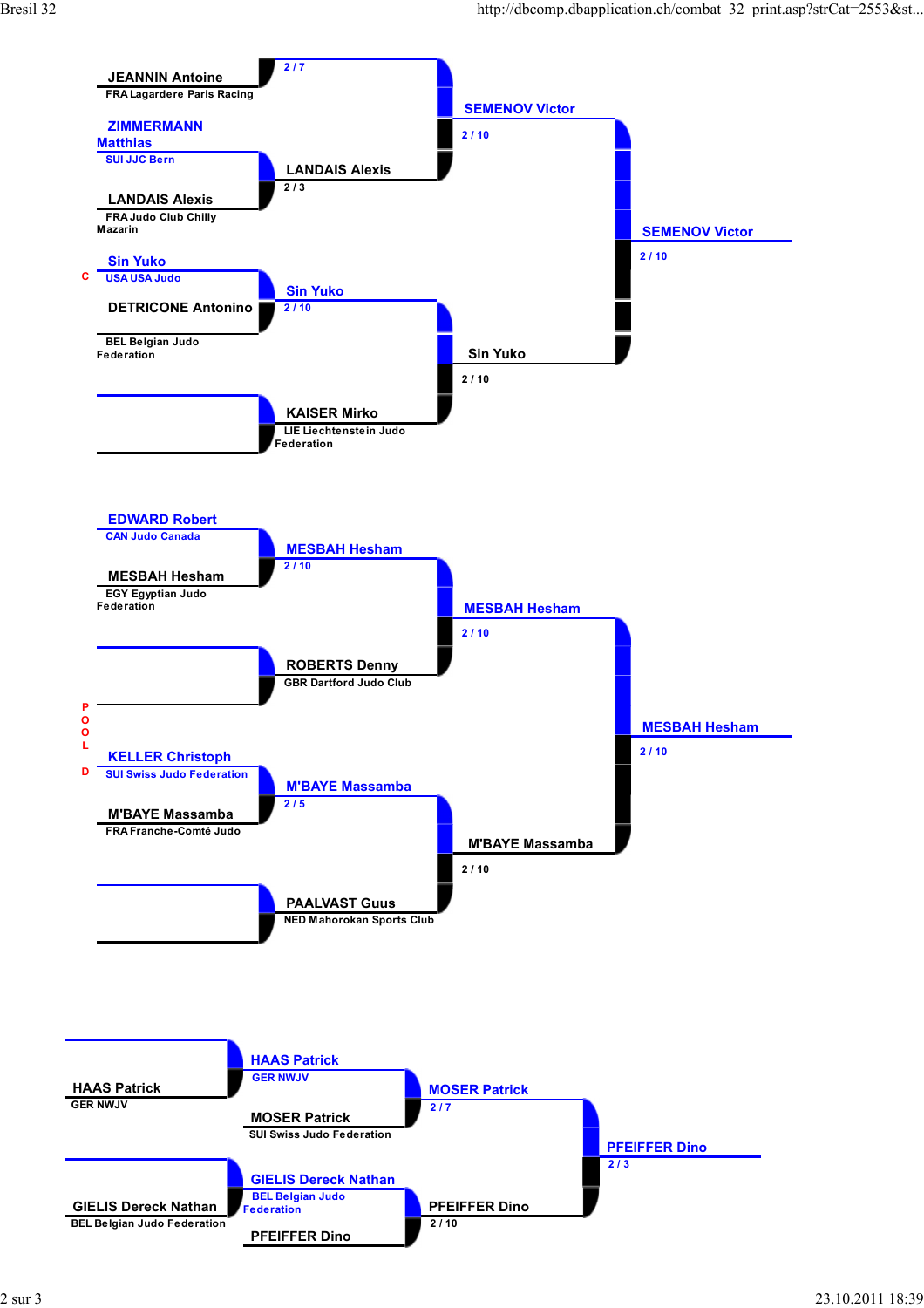